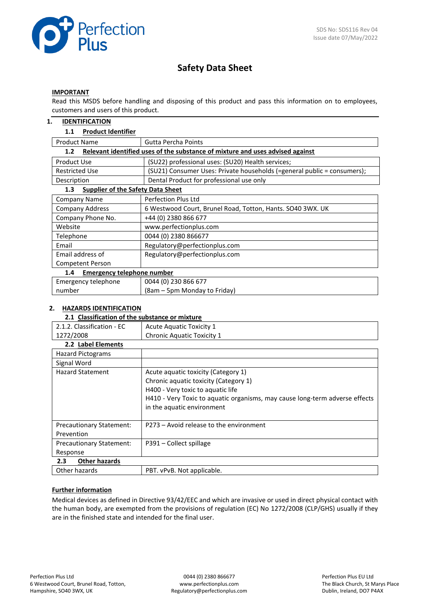

# **Safety Data Sheet**

#### **IMPORTANT**

Read this MSDS before handling and disposing of this product and pass this information on to employees, customers and users of this product.

## **1. IDENTIFICATION**

#### **1.1 Product Identifier**

| <b>Product Name</b><br>Gutta Percha Points                                                        |                                                                         |  |  |
|---------------------------------------------------------------------------------------------------|-------------------------------------------------------------------------|--|--|
| Relevant identified uses of the substance of mixture and uses advised against<br>1.2 <sub>2</sub> |                                                                         |  |  |
| <b>Product Use</b>                                                                                | (SU22) professional uses: (SU20) Health services;                       |  |  |
| <b>Restricted Use</b>                                                                             | (SU21) Consumer Uses: Private households (=general public = consumers); |  |  |
| Description                                                                                       | Dental Product for professional use only                                |  |  |
| <b>Supplier of the Safety Data Sheet</b><br>1.3 <sub>2</sub>                                      |                                                                         |  |  |
| <b>Company Name</b>                                                                               | <b>Perfection Plus Ltd</b>                                              |  |  |
| <b>Company Address</b>                                                                            | 6 Westwood Court, Brunel Road, Totton, Hants. SO40 3WX. UK              |  |  |
| Company Phone No.                                                                                 | +44 (0) 2380 866 677                                                    |  |  |
| Website                                                                                           | www.perfectionplus.com                                                  |  |  |
| Telephone                                                                                         | 0044 (0) 2380 866677                                                    |  |  |
| Email                                                                                             | Regulatory@perfectionplus.com                                           |  |  |
| Email address of                                                                                  | Regulatory@perfectionplus.com                                           |  |  |
| Competent Person                                                                                  |                                                                         |  |  |
| <b>Emergency telephone number</b><br>1.4                                                          |                                                                         |  |  |
| Emergency telephone                                                                               | 0044 (0) 230 866 677                                                    |  |  |
| number                                                                                            | (8am - 5pm Monday to Friday)                                            |  |  |

# **2. HAZARDS IDENTIFICATION**

## **2.1 Classification of the substance or mixture**

| <b>Acute Aquatic Toxicity 1</b>                                                                                                                                                                                                |
|--------------------------------------------------------------------------------------------------------------------------------------------------------------------------------------------------------------------------------|
| <b>Chronic Aquatic Toxicity 1</b>                                                                                                                                                                                              |
|                                                                                                                                                                                                                                |
|                                                                                                                                                                                                                                |
|                                                                                                                                                                                                                                |
| Acute aquatic toxicity (Category 1)<br>Chronic aquatic toxicity (Category 1)<br>H400 - Very toxic to aquatic life<br>H410 - Very Toxic to aquatic organisms, may cause long-term adverse effects<br>in the aquatic environment |
| P273 – Avoid release to the environment                                                                                                                                                                                        |
| P391 – Collect spillage                                                                                                                                                                                                        |
|                                                                                                                                                                                                                                |
|                                                                                                                                                                                                                                |
| PBT. vPvB. Not applicable.                                                                                                                                                                                                     |
|                                                                                                                                                                                                                                |

## **Further information**

Medical devices as defined in Directive 93/42/EEC and which are invasive or used in direct physical contact with the human body, are exempted from the provisions of regulation (EC) No 1272/2008 (CLP/GHS) usually if they are in the finished state and intended for the final user.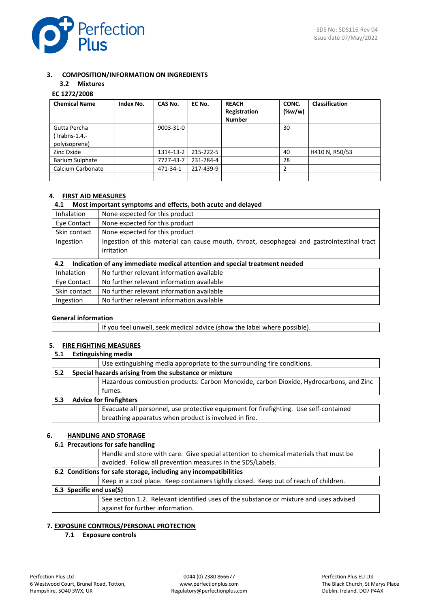

## **3. COMPOSITION/INFORMATION ON INGREDIENTS**

# **3.2 Mixtures**

# **EC 1272/2008**

| <b>Chemical Name</b> | Index No. | CAS No.   | EC No.    | <b>REACH</b>  | CONC.     | <b>Classification</b> |
|----------------------|-----------|-----------|-----------|---------------|-----------|-----------------------|
|                      |           |           |           | Registration  | $(\%w/w)$ |                       |
|                      |           |           |           | <b>Number</b> |           |                       |
| Gutta Percha         |           | 9003-31-0 |           |               | 30        |                       |
| $(Trabns-1.4,-$      |           |           |           |               |           |                       |
| polyisoprene)        |           |           |           |               |           |                       |
| Zinc Oxide           |           | 1314-13-2 | 215-222-5 |               | 40        | H410 N, R50/53        |
| Barium Sulphate      |           | 7727-43-7 | 231-784-4 |               | 28        |                       |
| Calcium Carbonate    |           | 471-34-1  | 217-439-9 |               |           |                       |
|                      |           |           |           |               |           |                       |

## **4. FIRST AID MEASURES**

## **4.1 Most important symptoms and effects, both acute and delayed**

| <b>Inhalation</b> | None expected for this product                                                                           |
|-------------------|----------------------------------------------------------------------------------------------------------|
| Eye Contact       | None expected for this product                                                                           |
| Skin contact      | None expected for this product                                                                           |
| Ingestion         | Ingestion of this material can cause mouth, throat, oesophageal and gastrointestinal tract<br>irritation |

#### **4.2 Indication of any immediate medical attention and special treatment needed**

| Inhalation   | No further relevant information available |
|--------------|-------------------------------------------|
| Eve Contact  | No further relevant information available |
| Skin contact | No further relevant information available |
| Ingestion    | No further relevant information available |

## **General information**

|  |  |  | If you feel unwell, seek medical advice (show the label where possible). |
|--|--|--|--------------------------------------------------------------------------|
|--|--|--|--------------------------------------------------------------------------|

## **5. FIRE FIGHTING MEASURES**

| 5.1 | <b>Extinguishing media</b> |  |
|-----|----------------------------|--|
|-----|----------------------------|--|

|     | Use extinguishing media appropriate to the surrounding fire conditions.                |
|-----|----------------------------------------------------------------------------------------|
| 5.2 | Special hazards arising from the substance or mixture                                  |
|     | Hazardous combustion products: Carbon Monoxide, carbon Dioxide, Hydrocarbons, and Zinc |
|     | fumes.                                                                                 |
| 5.3 | <b>Advice for firefighters</b>                                                         |
|     | Evacuate all personnel, use protective equipment for firefighting. Use self-contained  |
|     | breathing apparatus when product is involved in fire.                                  |

## **6. HANDLING AND STORAGE**

#### **6.1 Precautions for safe handling**

|                         | Handle and store with care. Give special attention to chemical materials that must be  |
|-------------------------|----------------------------------------------------------------------------------------|
|                         | avoided. Follow all prevention measures in the SDS/Labels.                             |
|                         | 6.2 Conditions for safe storage, including any incompatibilities                       |
|                         | Keep in a cool place. Keep containers tightly closed. Keep out of reach of children.   |
| 6.3 Specific end use(S) |                                                                                        |
|                         | See section 1.2. Relevant identified uses of the substance or mixture and uses advised |
|                         | against for further information.                                                       |

## **7. EXPOSURE CONTROLS/PERSONAL PROTECTION**

## **7.1 Exposure controls**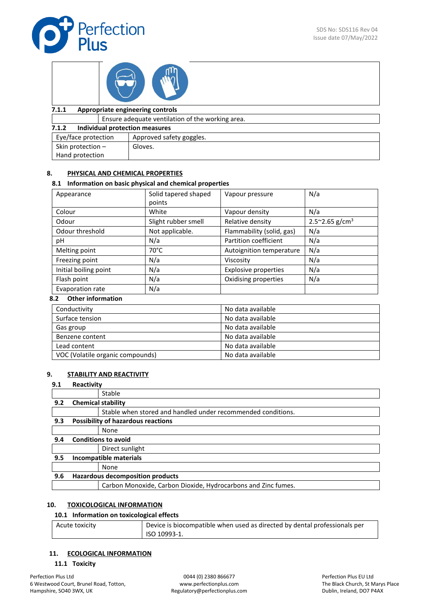





| 7.1.1                                   | Appropriate engineering controls                 |                          |  |
|-----------------------------------------|--------------------------------------------------|--------------------------|--|
|                                         | Ensure adequate ventilation of the working area. |                          |  |
| Individual protection measures<br>7.1.2 |                                                  |                          |  |
| Eye/face protection                     |                                                  | Approved safety goggles. |  |
| Skin protection $-$                     |                                                  | Gloves.                  |  |
| Hand protection                         |                                                  |                          |  |

## **8. PHYSICAL AND CHEMICAL PROPERTIES**

## **8.1 Information on basic physical and chemical properties**

| Appearance            | Solid tapered shaped | Vapour pressure             | N/a                                 |
|-----------------------|----------------------|-----------------------------|-------------------------------------|
|                       | points               |                             |                                     |
| Colour                | White                | Vapour density              | N/a                                 |
| Odour                 | Slight rubber smell  | Relative density            | $2.5^{\circ}2.65$ g/cm <sup>3</sup> |
| Odour threshold       | Not applicable.      | Flammability (solid, gas)   | N/a                                 |
| рH                    | N/a                  | Partition coefficient       | N/a                                 |
| Melting point         | 70°C                 | Autoignition temperature    | N/a                                 |
| Freezing point        | N/a                  | Viscosity                   | N/a                                 |
| Initial boiling point | N/a                  | <b>Explosive properties</b> | N/a                                 |
| Flash point           | N/a                  | Oxidising properties        | N/a                                 |
| Evaporation rate      | N/a                  |                             |                                     |

## **8.2 Other information**

| Conductivity                     | No data available |
|----------------------------------|-------------------|
| Surface tension                  | No data available |
| Gas group                        | No data available |
| Benzene content                  | No data available |
| Lead content                     | No data available |
| VOC (Volatile organic compounds) | No data available |

## **9. STABILITY AND REACTIVITY**

#### **9.1 Reactivity**

|     |                                           | Stable                                                        |  |  |
|-----|-------------------------------------------|---------------------------------------------------------------|--|--|
| 9.2 |                                           | <b>Chemical stability</b>                                     |  |  |
|     |                                           | Stable when stored and handled under recommended conditions.  |  |  |
| 9.3 | <b>Possibility of hazardous reactions</b> |                                                               |  |  |
|     |                                           | None                                                          |  |  |
| 9.4 |                                           | <b>Conditions to avoid</b>                                    |  |  |
|     |                                           | Direct sunlight                                               |  |  |
| 9.5 | Incompatible materials                    |                                                               |  |  |
|     |                                           | None                                                          |  |  |
| 9.6 | Hazardous decomposition products          |                                                               |  |  |
|     |                                           | Carbon Monoxide, Carbon Dioxide, Hydrocarbons and Zinc fumes. |  |  |
|     |                                           |                                                               |  |  |

## **10. TOXICOLOGICAL INFORMATION**

## **10.1 Information on toxicological effects**

| Acute toxicity | Device is biocompatible when used as directed by dental professionals per |
|----------------|---------------------------------------------------------------------------|
|                | ISO 10993-1.                                                              |

## **11. ECOLOGICAL INFORMATION**

# **11.1 Toxicity**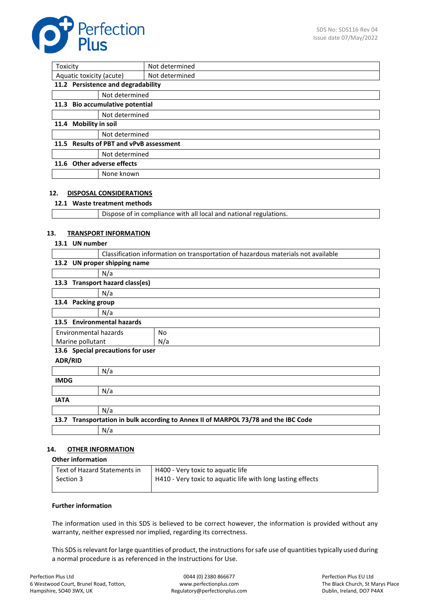

| Toxicity                 |                                         |                                    | Not determined |  |  |  |
|--------------------------|-----------------------------------------|------------------------------------|----------------|--|--|--|
| Aquatic toxicity (acute) |                                         |                                    | Not determined |  |  |  |
|                          |                                         | 11.2 Persistence and degradability |                |  |  |  |
|                          |                                         | Not determined                     |                |  |  |  |
| 11.3                     | Bio accumulative potential              |                                    |                |  |  |  |
|                          |                                         | Not determined                     |                |  |  |  |
| 11.4                     | <b>Mobility in soil</b>                 |                                    |                |  |  |  |
|                          |                                         | Not determined                     |                |  |  |  |
|                          | 11.5 Results of PBT and vPvB assessment |                                    |                |  |  |  |
|                          |                                         | Not determined                     |                |  |  |  |
|                          | 11.6 Other adverse effects              |                                    |                |  |  |  |
|                          |                                         | None known                         |                |  |  |  |

## **12. DISPOSAL CONSIDERATIONS**

## **12.1 Waste treatment methods**

Dispose of in compliance with all local and national regulations.

## **13. TRANSPORT INFORMATION**

## **13.1 UN number**

|                                                                                       | Classification information on transportation of hazardous materials not available |  |  |  |  |
|---------------------------------------------------------------------------------------|-----------------------------------------------------------------------------------|--|--|--|--|
| 13.2 UN proper shipping name                                                          |                                                                                   |  |  |  |  |
| N/a                                                                                   |                                                                                   |  |  |  |  |
| 13.3 Transport hazard class(es)                                                       |                                                                                   |  |  |  |  |
| N/a                                                                                   |                                                                                   |  |  |  |  |
| 13.4 Packing group                                                                    |                                                                                   |  |  |  |  |
| N/a                                                                                   |                                                                                   |  |  |  |  |
| 13.5 Environmental hazards                                                            |                                                                                   |  |  |  |  |
| Environmental hazards                                                                 | No                                                                                |  |  |  |  |
| Marine pollutant                                                                      | N/a                                                                               |  |  |  |  |
| 13.6 Special precautions for user                                                     |                                                                                   |  |  |  |  |
| <b>ADR/RID</b>                                                                        |                                                                                   |  |  |  |  |
| N/a                                                                                   |                                                                                   |  |  |  |  |
| <b>IMDG</b>                                                                           |                                                                                   |  |  |  |  |
| N/a                                                                                   |                                                                                   |  |  |  |  |
| <b>IATA</b>                                                                           |                                                                                   |  |  |  |  |
| N/a                                                                                   |                                                                                   |  |  |  |  |
| Transportation in bulk according to Annex II of MARPOL 73/78 and the IBC Code<br>13.7 |                                                                                   |  |  |  |  |
| N/a                                                                                   |                                                                                   |  |  |  |  |

#### **14. OTHER INFORMATION**

#### **Other information**

| Text of Hazard Statements in | H400 - Very toxic to aquatic life                           |
|------------------------------|-------------------------------------------------------------|
| Section 3                    | H410 - Very toxic to aquatic life with long lasting effects |
|                              |                                                             |

#### **Further information**

The information used in this SDS is believed to be correct however, the information is provided without any warranty, neither expressed nor implied, regarding its correctness.

This SDS is relevant for large quantities of product, the instructions for safe use of quantities typically used during a normal procedure is as referenced in the Instructions for Use.